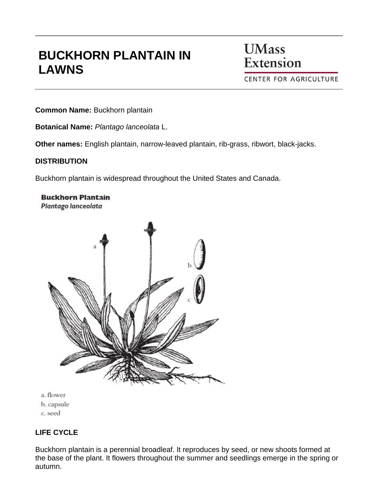# **BUCKHORN PLANTAIN IN LAWNS**

**UMass** Extension

**CENTER FOR AGRICULTURE** 

**Common Name:** Buckhorn plantain

**Botanical Name:** *Plantago lanceolata* L.

**Other names:** English plantain, narrow-leaved plantain, rib-grass, ribwort, black-jacks.

#### **DISTRIBUTION**

Buckhorn plantain is widespread throughout the United States and Canada.

**Buckhorn Plantain Plantago lanceolata** 



- a. flower
- b. capsule
- c. seed

### **LIFE CYCLE**

Buckhorn plantain is a perennial broadleaf. It reproduces by seed, or new shoots formed at the base of the plant. It flowers throughout the summer and seedlings emerge in the spring or autumn.